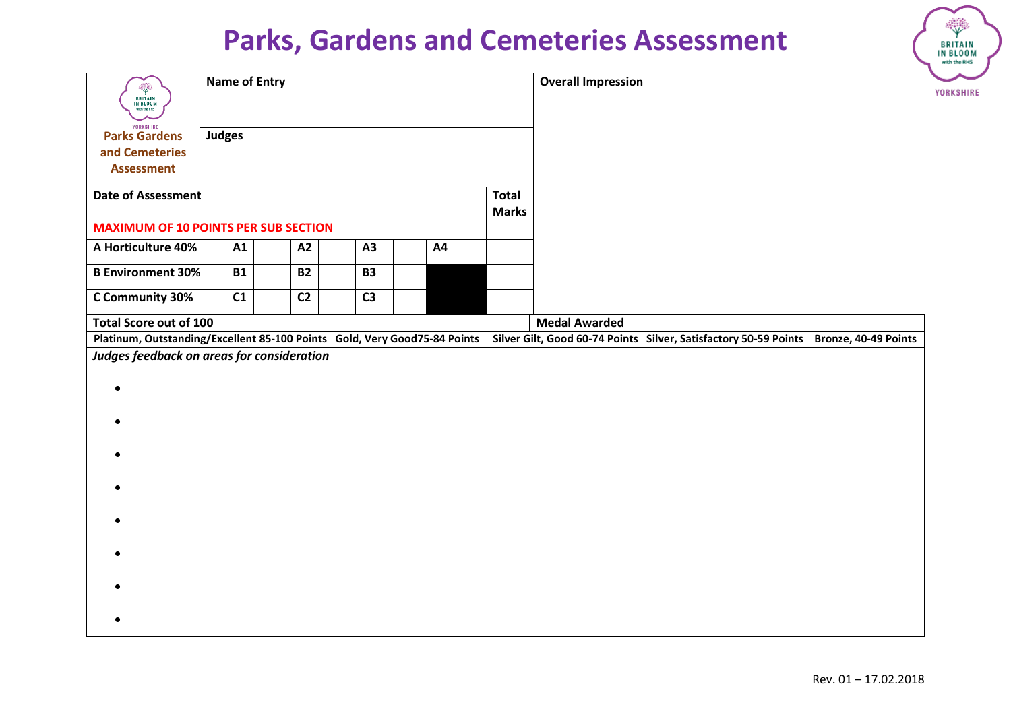|                                                                                                                                                                 |                      |  |                |  |                       |    |                           |  |                      |  |  |  | with the RHS |
|-----------------------------------------------------------------------------------------------------------------------------------------------------------------|----------------------|--|----------------|--|-----------------------|----|---------------------------|--|----------------------|--|--|--|--------------|
| <b>September</b><br><b>BRITAIN</b><br>IN BLOOM<br>with the RHS<br>YORKSHIRE                                                                                     | <b>Name of Entry</b> |  |                |  |                       |    | <b>Overall Impression</b> |  |                      |  |  |  |              |
| <b>Parks Gardens</b>                                                                                                                                            | <b>Judges</b>        |  |                |  |                       |    |                           |  |                      |  |  |  |              |
| and Cemeteries                                                                                                                                                  |                      |  |                |  |                       |    |                           |  |                      |  |  |  |              |
| <b>Assessment</b>                                                                                                                                               |                      |  |                |  |                       |    |                           |  |                      |  |  |  |              |
| <b>Date of Assessment</b>                                                                                                                                       |                      |  |                |  | Total<br><b>Marks</b> |    |                           |  |                      |  |  |  |              |
| <b>MAXIMUM OF 10 POINTS PER SUB SECTION</b>                                                                                                                     |                      |  |                |  |                       |    |                           |  |                      |  |  |  |              |
| A Horticulture 40%                                                                                                                                              | A1                   |  | A2             |  | A3                    | A4 |                           |  |                      |  |  |  |              |
| <b>B Environment 30%</b>                                                                                                                                        | <b>B1</b>            |  | <b>B2</b>      |  | <b>B3</b>             |    |                           |  |                      |  |  |  |              |
| C Community 30%                                                                                                                                                 | C1                   |  | C <sub>2</sub> |  | C <sub>3</sub>        |    |                           |  |                      |  |  |  |              |
| <b>Total Score out of 100</b>                                                                                                                                   |                      |  |                |  |                       |    |                           |  | <b>Medal Awarded</b> |  |  |  |              |
| Platinum, Outstanding/Excellent 85-100 Points Gold, Very Good75-84 Points Silver Gilt, Good 60-74 Points Silver, Satisfactory 50-59 Points Bronze, 40-49 Points |                      |  |                |  |                       |    |                           |  |                      |  |  |  |              |
| Judges feedback on areas for consideration                                                                                                                      |                      |  |                |  |                       |    |                           |  |                      |  |  |  |              |
| $\bullet$                                                                                                                                                       |                      |  |                |  |                       |    |                           |  |                      |  |  |  |              |
|                                                                                                                                                                 |                      |  |                |  |                       |    |                           |  |                      |  |  |  |              |
|                                                                                                                                                                 |                      |  |                |  |                       |    |                           |  |                      |  |  |  |              |
|                                                                                                                                                                 |                      |  |                |  |                       |    |                           |  |                      |  |  |  |              |
|                                                                                                                                                                 |                      |  |                |  |                       |    |                           |  |                      |  |  |  |              |
|                                                                                                                                                                 |                      |  |                |  |                       |    |                           |  |                      |  |  |  |              |
|                                                                                                                                                                 |                      |  |                |  |                       |    |                           |  |                      |  |  |  |              |
|                                                                                                                                                                 |                      |  |                |  |                       |    |                           |  |                      |  |  |  |              |
|                                                                                                                                                                 |                      |  |                |  |                       |    |                           |  |                      |  |  |  |              |
| $\bullet$                                                                                                                                                       |                      |  |                |  |                       |    |                           |  |                      |  |  |  |              |
|                                                                                                                                                                 |                      |  |                |  |                       |    |                           |  |                      |  |  |  |              |

**BRITAIN**<br>IN BLOOM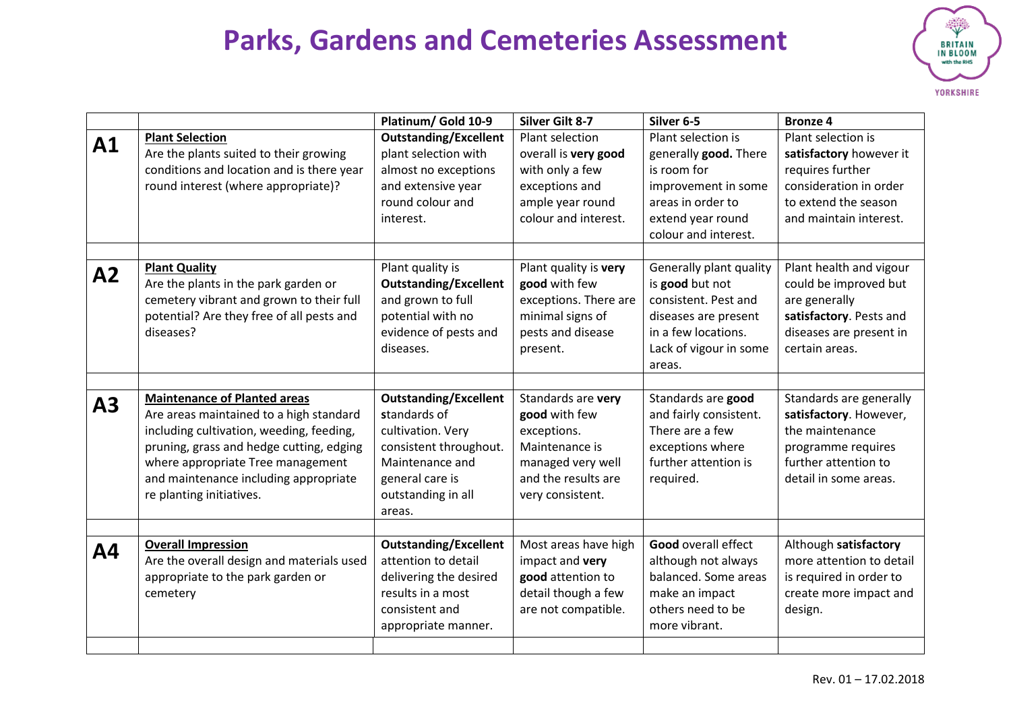

|                |                                                                                                                                                                                                                                                                                  | Platinum/ Gold 10-9                                                                                                                                               | <b>Silver Gilt 8-7</b>                                                                                                               | Silver 6-5                                                                                                                                            | <b>Bronze 4</b>                                                                                                                               |
|----------------|----------------------------------------------------------------------------------------------------------------------------------------------------------------------------------------------------------------------------------------------------------------------------------|-------------------------------------------------------------------------------------------------------------------------------------------------------------------|--------------------------------------------------------------------------------------------------------------------------------------|-------------------------------------------------------------------------------------------------------------------------------------------------------|-----------------------------------------------------------------------------------------------------------------------------------------------|
| A1             | <b>Plant Selection</b><br>Are the plants suited to their growing<br>conditions and location and is there year<br>round interest (where appropriate)?                                                                                                                             | <b>Outstanding/Excellent</b><br>plant selection with<br>almost no exceptions<br>and extensive year<br>round colour and<br>interest.                               | Plant selection<br>overall is very good<br>with only a few<br>exceptions and<br>ample year round<br>colour and interest.             | Plant selection is<br>generally good. There<br>is room for<br>improvement in some<br>areas in order to<br>extend year round<br>colour and interest.   | Plant selection is<br>satisfactory however it<br>requires further<br>consideration in order<br>to extend the season<br>and maintain interest. |
| A2             | <b>Plant Quality</b><br>Are the plants in the park garden or<br>cemetery vibrant and grown to their full<br>potential? Are they free of all pests and<br>diseases?                                                                                                               | Plant quality is<br><b>Outstanding/Excellent</b><br>and grown to full<br>potential with no<br>evidence of pests and<br>diseases.                                  | Plant quality is very<br>good with few<br>exceptions. There are<br>minimal signs of<br>pests and disease<br>present.                 | Generally plant quality<br>is good but not<br>consistent. Pest and<br>diseases are present<br>in a few locations.<br>Lack of vigour in some<br>areas. | Plant health and vigour<br>could be improved but<br>are generally<br>satisfactory. Pests and<br>diseases are present in<br>certain areas.     |
| A <sub>3</sub> | <b>Maintenance of Planted areas</b><br>Are areas maintained to a high standard<br>including cultivation, weeding, feeding,<br>pruning, grass and hedge cutting, edging<br>where appropriate Tree management<br>and maintenance including appropriate<br>re planting initiatives. | <b>Outstanding/Excellent</b><br>standards of<br>cultivation. Very<br>consistent throughout.<br>Maintenance and<br>general care is<br>outstanding in all<br>areas. | Standards are very<br>good with few<br>exceptions.<br>Maintenance is<br>managed very well<br>and the results are<br>very consistent. | Standards are good<br>and fairly consistent.<br>There are a few<br>exceptions where<br>further attention is<br>required.                              | Standards are generally<br>satisfactory. However,<br>the maintenance<br>programme requires<br>further attention to<br>detail in some areas.   |
| <b>A4</b>      | <b>Overall Impression</b><br>Are the overall design and materials used<br>appropriate to the park garden or<br>cemetery                                                                                                                                                          | <b>Outstanding/Excellent</b><br>attention to detail<br>delivering the desired<br>results in a most<br>consistent and<br>appropriate manner.                       | Most areas have high<br>impact and very<br>good attention to<br>detail though a few<br>are not compatible.                           | <b>Good overall effect</b><br>although not always<br>balanced. Some areas<br>make an impact<br>others need to be<br>more vibrant.                     | Although satisfactory<br>more attention to detail<br>is required in order to<br>create more impact and<br>design.                             |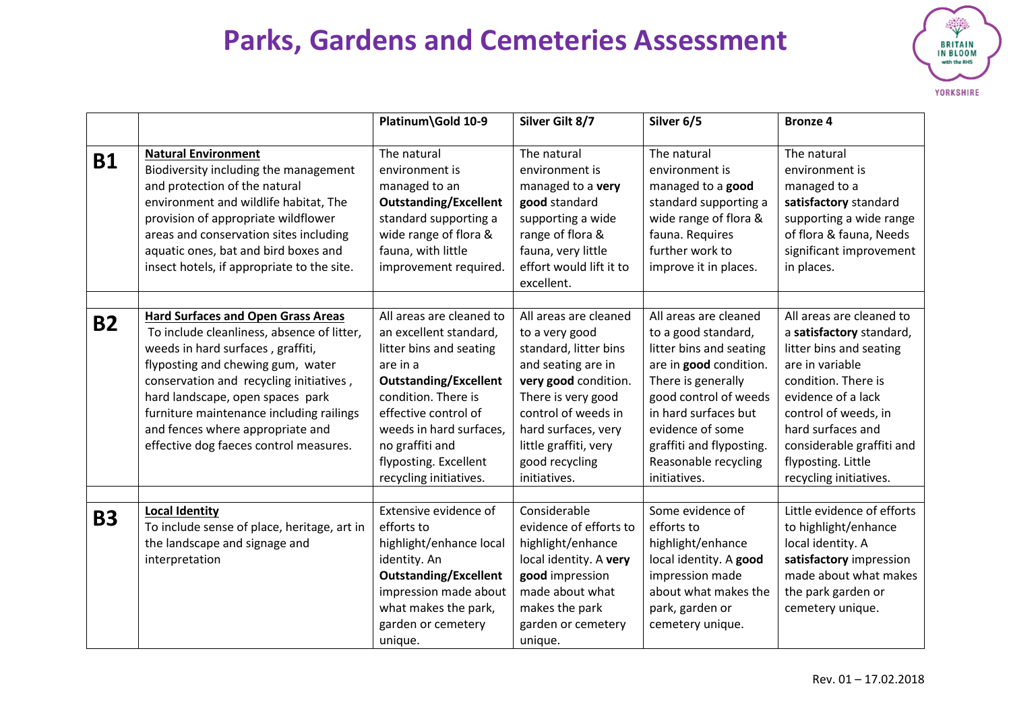

|           |                                                                                                                                                                                                                                                                                                                                                                            | Platinum\Gold 10-9                                                                                                                                                                                                                                                        | Silver Gilt 8/7                                                                                                                                                                                                                               | Silver 6/5                                                                                                                                                                                                                                                       | <b>Bronze 4</b>                                                                                                                                                                                                                                                           |
|-----------|----------------------------------------------------------------------------------------------------------------------------------------------------------------------------------------------------------------------------------------------------------------------------------------------------------------------------------------------------------------------------|---------------------------------------------------------------------------------------------------------------------------------------------------------------------------------------------------------------------------------------------------------------------------|-----------------------------------------------------------------------------------------------------------------------------------------------------------------------------------------------------------------------------------------------|------------------------------------------------------------------------------------------------------------------------------------------------------------------------------------------------------------------------------------------------------------------|---------------------------------------------------------------------------------------------------------------------------------------------------------------------------------------------------------------------------------------------------------------------------|
| <b>B1</b> | <b>Natural Environment</b><br>Biodiversity including the management<br>and protection of the natural<br>environment and wildlife habitat, The<br>provision of appropriate wildflower<br>areas and conservation sites including<br>aquatic ones, bat and bird boxes and<br>insect hotels, if appropriate to the site.                                                       | The natural<br>environment is<br>managed to an<br><b>Outstanding/Excellent</b><br>standard supporting a<br>wide range of flora &<br>fauna, with little<br>improvement required.                                                                                           | The natural<br>environment is<br>managed to a very<br>good standard<br>supporting a wide<br>range of flora &<br>fauna, very little<br>effort would lift it to<br>excellent.                                                                   | The natural<br>environment is<br>managed to a good<br>standard supporting a<br>wide range of flora &<br>fauna. Requires<br>further work to<br>improve it in places.                                                                                              | The natural<br>environment is<br>managed to a<br>satisfactory standard<br>supporting a wide range<br>of flora & fauna, Needs<br>significant improvement<br>in places.                                                                                                     |
| <b>B2</b> | <b>Hard Surfaces and Open Grass Areas</b><br>To include cleanliness, absence of litter,<br>weeds in hard surfaces, graffiti,<br>flyposting and chewing gum, water<br>conservation and recycling initiatives,<br>hard landscape, open spaces park<br>furniture maintenance including railings<br>and fences where appropriate and<br>effective dog faeces control measures. | All areas are cleaned to<br>an excellent standard,<br>litter bins and seating<br>are in a<br><b>Outstanding/Excellent</b><br>condition. There is<br>effective control of<br>weeds in hard surfaces,<br>no graffiti and<br>flyposting. Excellent<br>recycling initiatives. | All areas are cleaned<br>to a very good<br>standard, litter bins<br>and seating are in<br>very good condition.<br>There is very good<br>control of weeds in<br>hard surfaces, very<br>little graffiti, very<br>good recycling<br>initiatives. | All areas are cleaned<br>to a good standard,<br>litter bins and seating<br>are in good condition.<br>There is generally<br>good control of weeds<br>in hard surfaces but<br>evidence of some<br>graffiti and flyposting.<br>Reasonable recycling<br>initiatives. | All areas are cleaned to<br>a satisfactory standard,<br>litter bins and seating<br>are in variable<br>condition. There is<br>evidence of a lack<br>control of weeds, in<br>hard surfaces and<br>considerable graffiti and<br>flyposting. Little<br>recycling initiatives. |
| <b>B3</b> | <b>Local Identity</b><br>To include sense of place, heritage, art in<br>the landscape and signage and<br>interpretation                                                                                                                                                                                                                                                    | Extensive evidence of<br>efforts to<br>highlight/enhance local<br>identity. An<br><b>Outstanding/Excellent</b><br>impression made about<br>what makes the park,<br>garden or cemetery<br>unique.                                                                          | Considerable<br>evidence of efforts to<br>highlight/enhance<br>local identity. A very<br>good impression<br>made about what<br>makes the park<br>garden or cemetery<br>unique.                                                                | Some evidence of<br>efforts to<br>highlight/enhance<br>local identity. A good<br>impression made<br>about what makes the<br>park, garden or<br>cemetery unique.                                                                                                  | Little evidence of efforts<br>to highlight/enhance<br>local identity. A<br>satisfactory impression<br>made about what makes<br>the park garden or<br>cemetery unique.                                                                                                     |